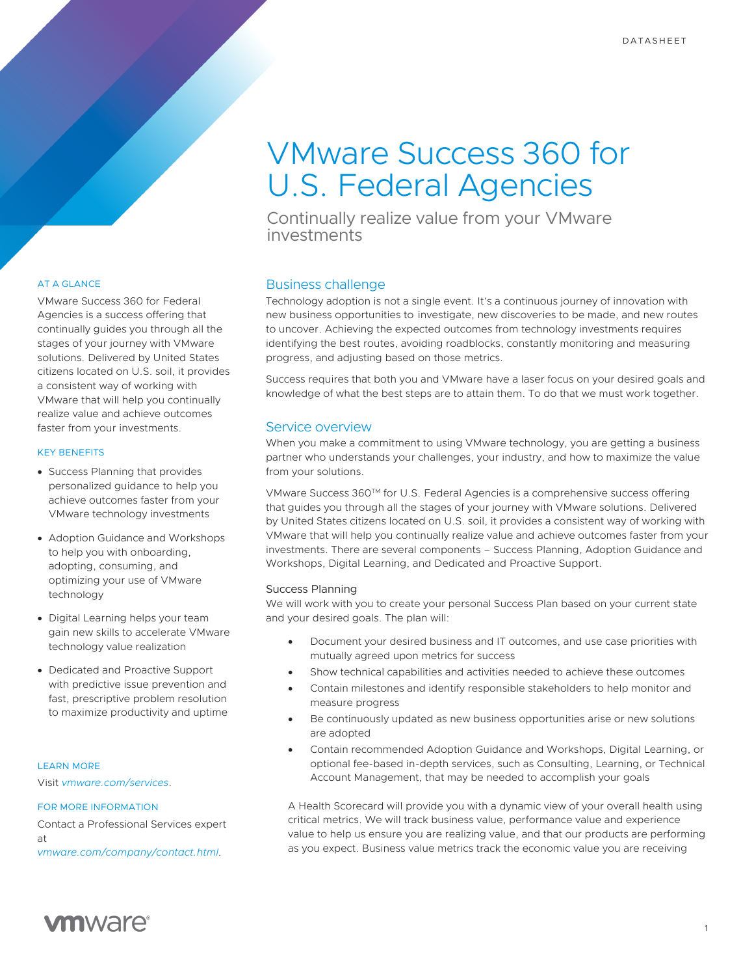# VMware Success 360 for U.S. Federal Agencies

Continually realize value from your VMware investments

# AT A GLANCE

VMware Success 360 for Federal Agencies is a success offering that continually guides you through all the stages of your journey with VMware solutions. Delivered by United States citizens located on U.S. soil, it provides a consistent way of working with VMware that will help you continually realize value and achieve outcomes faster from your investments.

# KEY BENEFITS

- Success Planning that provides personalized guidance to help you achieve outcomes faster from your VMware technology investments
- Adoption Guidance and Workshops to help you with onboarding, adopting, consuming, and optimizing your use of VMware technology
- Digital Learning helps your team gain new skills to accelerate VMware technology value realization
- Dedicated and Proactive Support with predictive issue prevention and fast, prescriptive problem resolution to maximize productivity and uptime

# LEARN MORE

Visit *vmware.com/services*.

#### FOR MORE INFORMATION

Contact a Professional Services expert at *vmware.com/company/contact.html.*

# Business challenge

Technology adoption is not a single event. It's a continuous journey of innovation with new business opportunities to investigate, new discoveries to be made, and new routes to uncover. Achieving the expected outcomes from technology investments requires identifying the best routes, avoiding roadblocks, constantly monitoring and measuring progress, and adjusting based on those metrics.

Success requires that both you and VMware have a laser focus on your desired goals and knowledge of what the best steps are to attain them. To do that we must work together.

# Service overview

When you make a commitment to using VMware technology, you are getting a business partner who understands your challenges, your industry, and how to maximize the value from your solutions.

VMware Success 360TM for U.S. Federal Agencies is a comprehensive success offering that guides you through all the stages of your journey with VMware solutions. Delivered by United States citizens located on U.S. soil, it provides a consistent way of working with VMware that will help you continually realize value and achieve outcomes faster from your investments. There are several components – Success Planning, Adoption Guidance and Workshops, Digital Learning, and Dedicated and Proactive Support.

#### Success Planning

We will work with you to create your personal Success Plan based on your current state and your desired goals. The plan will:

- Document your desired business and IT outcomes, and use case priorities with mutually agreed upon metrics for success
- Show technical capabilities and activities needed to achieve these outcomes
- Contain milestones and identify responsible stakeholders to help monitor and measure progress
- Be continuously updated as new business opportunities arise or new solutions are adopted
- Contain recommended Adoption Guidance and Workshops, Digital Learning, or optional fee-based in-depth services, such as Consulting, Learning, or Technical Account Management, that may be needed to accomplish your goals

A Health Scorecard will provide you with a dynamic view of your overall health using critical metrics. We will track business value, performance value and experience value to help us ensure you are realizing value, and that our products are performing as you expect. Business value metrics track the economic value you are receiving